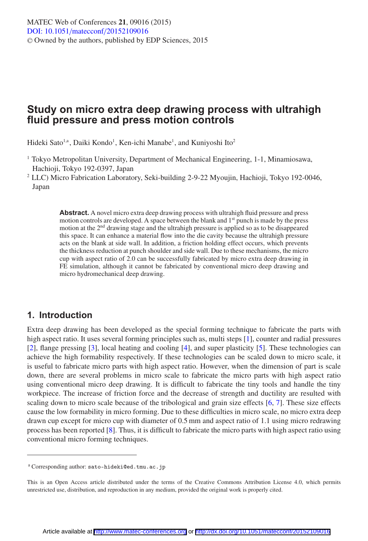# **Study on micro extra deep drawing process with ultrahigh fluid pressure and press motion controls**

Hideki Sato<sup>1,a</sup>, Daiki Kondo<sup>1</sup>, Ken-ichi Manabe<sup>1</sup>, and Kuniyoshi Ito<sup>2</sup>

- <sup>1</sup> Tokyo Metropolitan University, Department of Mechanical Engineering, 1-1, Minamiosawa, Hachioji, Tokyo 192-0397, Japan
- <sup>2</sup> LLC) Micro Fabrication Laboratory, Seki-building 2-9-22 Myoujin, Hachioji, Tokyo 192-0046, Japan

**Abstract.** A novel micro extra deep drawing process with ultrahigh fluid pressure and press motion controls are developed. A space between the blank and  $1<sup>st</sup>$  punch is made by the press motion at the 2nd drawing stage and the ultrahigh pressure is applied so as to be disappeared this space. It can enhance a material flow into the die cavity because the ultrahigh pressure acts on the blank at side wall. In addition, a friction holding effect occurs, which prevents the thickness reduction at punch shoulder and side wall. Due to these mechanisms, the micro cup with aspect ratio of 2.0 can be successfully fabricated by micro extra deep drawing in FE simulation, although it cannot be fabricated by conventional micro deep drawing and micro hydromechanical deep drawing.

# **1. Introduction**

Extra deep drawing has been developed as the special forming technique to fabricate the parts with high aspect ratio. It uses several forming principles such as, multi steps [\[1](#page-5-0)], counter and radial pressures [\[2\]](#page-5-1), flange pressing [\[3](#page-5-2)], local heating and cooling [\[4\]](#page-5-3), and super plasticity [\[5](#page-5-4)]. These technologies can achieve the high formability respectively. If these technologies can be scaled down to micro scale, it is useful to fabricate micro parts with high aspect ratio. However, when the dimension of part is scale down, there are several problems in micro scale to fabricate the micro parts with high aspect ratio using conventional micro deep drawing. It is difficult to fabricate the tiny tools and handle the tiny workpiece. The increase of friction force and the decrease of strength and ductility are resulted with scaling down to micro scale because of the tribological and grain size effects [\[6](#page-5-5), [7\]](#page-5-6). These size effects cause the low formability in micro forming. Due to these difficulties in micro scale, no micro extra deep drawn cup except for micro cup with diameter of 0.5 mm and aspect ratio of 1.1 using micro redrawing process has been reported [\[8](#page-5-7)]. Thus, it is difficult to fabricate the micro parts with high aspect ratio using conventional micro forming techniques.

<sup>a</sup> Corresponding author: sato-hideki@ed.tmu.ac.jp

This is an Open Access article distributed under the terms of the Creative Commons Attribution License 4.0, which permits unrestricted use, distribution, and reproduction in any medium, provided the original work is properly cited.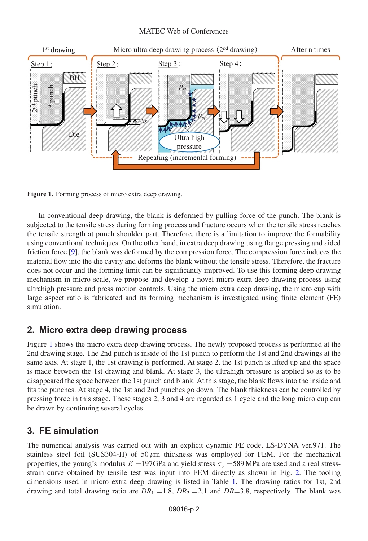#### MATEC Web of Conferences

<span id="page-1-0"></span>

**Figure 1.** Forming process of micro extra deep drawing.

In conventional deep drawing, the blank is deformed by pulling force of the punch. The blank is subjected to the tensile stress during forming process and fracture occurs when the tensile stress reaches the tensile strength at punch shoulder part. Therefore, there is a limitation to improve the formability using conventional techniques. On the other hand, in extra deep drawing using flange pressing and aided friction force [\[9](#page-5-8)], the blank was deformed by the compression force. The compression force induces the material flow into the die cavity and deforms the blank without the tensile stress. Therefore, the fracture does not occur and the forming limit can be significantly improved. To use this forming deep drawing mechanism in micro scale, we propose and develop a novel micro extra deep drawing process using ultrahigh pressure and press motion controls. Using the micro extra deep drawing, the micro cup with large aspect ratio is fabricated and its forming mechanism is investigated using finite element (FE) simulation.

## **2. Micro extra deep drawing process**

Figure [1](#page-1-0) shows the micro extra deep drawing process. The newly proposed process is performed at the 2nd drawing stage. The 2nd punch is inside of the 1st punch to perform the 1st and 2nd drawings at the same axis. At stage 1, the 1st drawing is performed. At stage 2, the 1st punch is lifted up and the space is made between the 1st drawing and blank. At stage 3, the ultrahigh pressure is applied so as to be disappeared the space between the 1st punch and blank. At this stage, the blank flows into the inside and fits the punches. At stage 4, the 1st and 2nd punches go down. The blank thickness can be controlled by pressing force in this stage. These stages 2, 3 and 4 are regarded as 1 cycle and the long micro cup can be drawn by continuing several cycles.

## **3. FE simulation**

The numerical analysis was carried out with an explicit dynamic FE code, LS-DYNA ver.971. The stainless steel foil (SUS304-H) of  $50 \mu m$  thickness was employed for FEM. For the mechanical properties, the young's modulus  $E = 197$ GPa and yield stress  $\sigma_y = 589$  MPa are used and a real stressstrain curve obtained by tensile test was input into FEM directly as shown in Fig. [2.](#page-2-0) The tooling dimensions used in micro extra deep drawing is listed in Table [1.](#page-2-1) The drawing ratios for 1st, 2nd drawing and total drawing ratio are  $DR_1 = 1.8$ ,  $DR_2 = 2.1$  and  $DR = 3.8$ , respectively. The blank was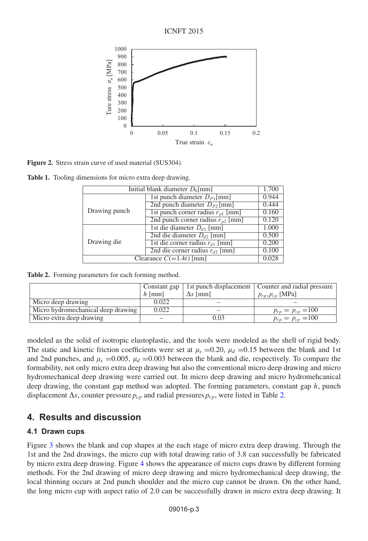ICNFT 2015

<span id="page-2-0"></span>

**Figure 2.** Stress strain curve of used material (SUS304).

<span id="page-2-1"></span>**Table 1.** Tooling dimensions for micro extra deep drawing.

| Initial blank diameter $D_0$ [mm] |                                       |       |
|-----------------------------------|---------------------------------------|-------|
|                                   | 1st punch diameter $D_{P1}$ [mm]      | 0.944 |
| Drawing punch                     | 2nd punch diameter $D_{P2}$ [mm]      | 0.444 |
|                                   | 1st punch corner radius $r_{p1}$ [mm] | 0.160 |
|                                   | 2nd punch corner radius $r_{p2}$ [mm] | 0.120 |
| Drawing die                       | 1st die diameter $D_{d1}$ [mm]        | 1.000 |
|                                   | 2nd die diameter $D_{d2}$ [mm]        | 0.500 |
|                                   | 1st die corner radius $r_{d1}$ [mm]   | 0.200 |
|                                   | 2nd die corner radius $r_d$ [mm]      | 0.100 |
| Clearance $C(=1.4t)$ [mm]         |                                       |       |

<span id="page-2-2"></span>**Table 2.** Forming parameters for each forming method.

|                                    | Constant gap |                 | 1st punch displacement   Counter and radial pressure |
|------------------------------------|--------------|-----------------|------------------------------------------------------|
|                                    | $h$ [mm]     | $\Delta s$ [mm] | $p_{rp}, p_{cp}$ [MPa]                               |
| Micro deep drawing                 | 0.022        |                 |                                                      |
| Micro hydromechanical deep drawing | 0.022        |                 | $p_{rp} = p_{cp} = 100$                              |
| Micro extra deep drawing           |              | 0.03            | $p_{rp} = p_{cp} = 100$                              |

modeled as the solid of isotropic elastoplastic, and the tools were modeled as the shell of rigid body. The static and kinetic friction coefficients were set at  $\mu_s = 0.20$ ,  $\mu_d = 0.15$  between the blank and 1st and 2nd punches, and  $\mu_s = 0.005$ ,  $\mu_d = 0.003$  between the blank and die, respectively. To compare the formability, not only micro extra deep drawing but also the conventional micro deep drawing and micro hydromechanical deep drawing were carried out. In micro deep drawing and micro hydromehcanical deep drawing, the constant gap method was adopted. The forming parameters, constant gap h, punch displacement  $\Delta s$ , counter pressure  $p_{cp}$  and radial pressures  $p_{rp}$ , were listed in Table [2.](#page-2-2)

# **4. Results and discussion**

## **4.1 Drawn cups**

Figure [3](#page-3-0) shows the blank and cup shapes at the each stage of micro extra deep drawing. Through the 1st and the 2nd drawings, the micro cup with total drawing ratio of 3.8 can successfully be fabricated by micro extra deep drawing. Figure [4](#page-3-1) shows the appearance of micro cups drawn by different forming methods. For the 2nd drawing of micro deep drawing and micro hydromechanical deep drawing, the local thinning occurs at 2nd punch shoulder and the micro cup cannot be drawn. On the other hand, the long micro cup with aspect ratio of 2.0 can be successfully drawn in micro extra deep drawing. It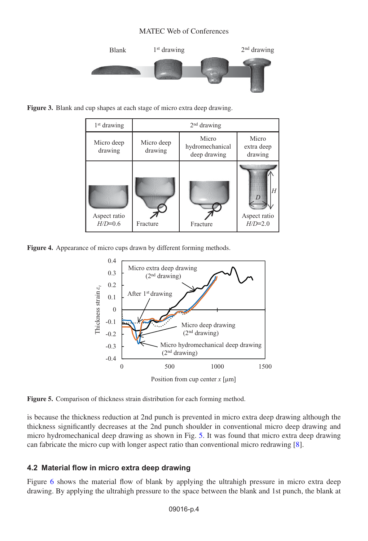#### MATEC Web of Conferences



<span id="page-3-1"></span><span id="page-3-0"></span>**Figure 3.** Blank and cup shapes at each stage of micro extra deep drawing.

| $1st$ drawing             | $2nd$ drawing         |                                          |                                            |  |
|---------------------------|-----------------------|------------------------------------------|--------------------------------------------|--|
| Micro deep<br>drawing     | Micro deep<br>drawing | Micro<br>hydromechanical<br>deep drawing | Micro<br>extra deep<br>drawing             |  |
| Aspect ratio<br>$H/D=0.6$ | Fracture              | Fracture                                 | H<br>$\Gamma$<br>Aspect ratio<br>$H/D=2.0$ |  |

<span id="page-3-2"></span>**Figure 4.** Appearance of micro cups drawn by different forming methods.



**Figure 5.** Comparison of thickness strain distribution for each forming method.

is because the thickness reduction at 2nd punch is prevented in micro extra deep drawing although the thickness significantly decreases at the 2nd punch shoulder in conventional micro deep drawing and micro hydromechanical deep drawing as shown in Fig. [5.](#page-3-2) It was found that micro extra deep drawing can fabricate the micro cup with longer aspect ratio than conventional micro redrawing [\[8](#page-5-7)].

## **4.2 Material flow in micro extra deep drawing**

Figure [6](#page-4-0) shows the material flow of blank by applying the ultrahigh pressure in micro extra deep drawing. By applying the ultrahigh pressure to the space between the blank and 1st punch, the blank at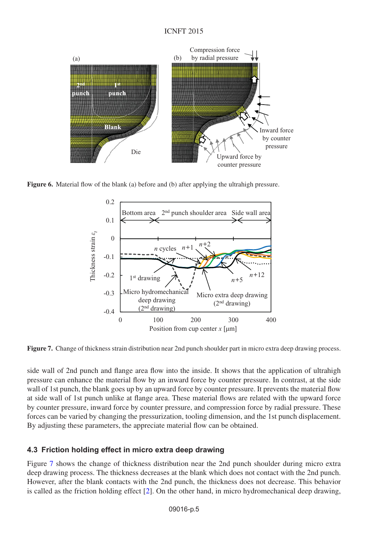<span id="page-4-0"></span>

<span id="page-4-1"></span>**Figure 6.** Material flow of the blank (a) before and (b) after applying the ultrahigh pressure.



**Figure 7.** Change of thickness strain distribution near 2nd punch shoulder part in micro extra deep drawing process.

side wall of 2nd punch and flange area flow into the inside. It shows that the application of ultrahigh pressure can enhance the material flow by an inward force by counter pressure. In contrast, at the side wall of 1st punch, the blank goes up by an upward force by counter pressure. It prevents the material flow at side wall of 1st punch unlike at flange area. These material flows are related with the upward force by counter pressure, inward force by counter pressure, and compression force by radial pressure. These forces can be varied by changing the pressurization, tooling dimension, and the 1st punch displacement. By adjusting these parameters, the appreciate material flow can be obtained.

## **4.3 Friction holding effect in micro extra deep drawing**

Figure [7](#page-4-1) shows the change of thickness distribution near the 2nd punch shoulder during micro extra deep drawing process. The thickness decreases at the blank which does not contact with the 2nd punch. However, after the blank contacts with the 2nd punch, the thickness does not decrease. This behavior is called as the friction holding effect [\[2](#page-5-1)]. On the other hand, in micro hydromechanical deep drawing,